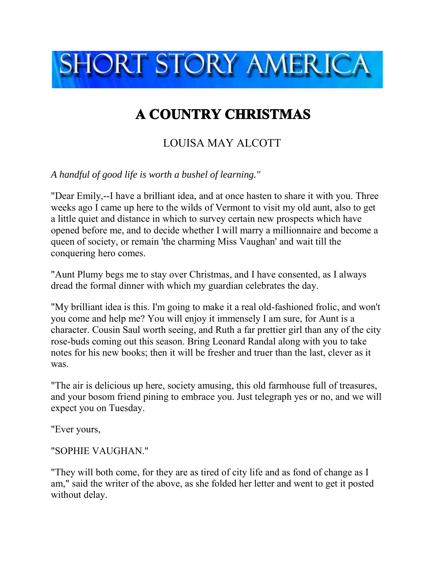

## **A COUNTRY CHRISTMAS**

## LOUISA MAY ALCOTT

*A handful of good life is worth a bushel of learning."*

"Dear Emily,--I have a brilliant idea, and at once hasten to share it with you. Three weeks ago I came up here to the wilds of Vermont to visit my old aunt, also to get a little quiet and distance in which to survey certain new prospects which have opened before me, and to decide whether I will marry a millionnaire and become a queen of society, or remain 'the charming Miss Vaughan' and wait till the conquering hero comes.

"Aunt Plumy begs me to stay over Christmas, and I have consented, as I always dread the formal dinner with which my guardian celebrates the day.

"My brilliant idea is this. I'm going to make it a real old-fashioned frolic, and won't you come and help me? You will enjoy it immensely I am sure, for Aunt is a character. Cousin Saul worth seeing, and Ruth a far prettier girl than any of the city rose-buds coming out this season. Bring Leonard Randal along with you to take notes for his new books; then it will be fresher and truer than the last, clever as it was.

"The air is delicious up here, society amusing, this old farmhouse full of treasures, and your bosom friend pining to embrace you. Just telegraph yes or no, and we will expect you on Tuesday.

"Ever yours,

## "SOPHIE VAUGHAN."

"They will both come, for they are as tired of city life and as fond of change as I am," said the writer of the above, as she folded her letter and went to get it posted without delay.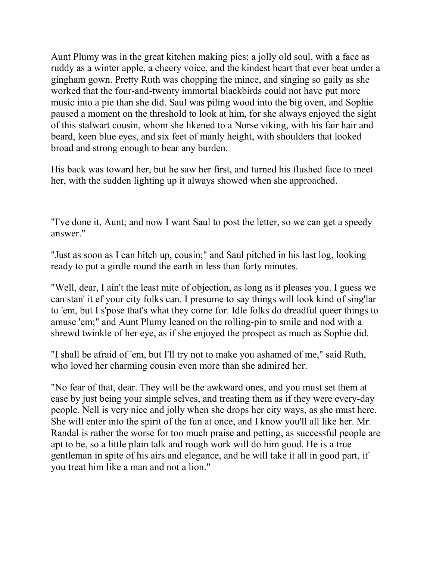Aunt Plumy was in the great kitchen making pies; a jolly old soul, with a face as ruddy as a winter apple, a cheery voice, and the kindest heart that ever beat under a gingham gown. Pretty Ruth was chopping the mince, and singing so gaily as she worked that the four-and-twenty immortal blackbirds could not have put more music into a pie than she did. Saul was piling wood into the big oven, and Sophie paused a moment on the threshold to look at him, for she always enjoyed the sight of this stalwart cousin, whom she likened to a Norse viking, with his fair hair and beard, keen blue eyes, and six feet of manly height, with shoulders that looked broad and strong enough to bear any burden.

His back was toward her, but he saw her first, and turned his flushed face to meet her, with the sudden lighting up it always showed when she approached.

"I've done it, Aunt; and now I want Saul to post the letter, so we can get a speedy answer."

"Just as soon as I can hitch up, cousin;" and Saul pitched in his last log, looking ready to put a girdle round the earth in less than forty minutes.

"Well, dear, I ain't the least mite of objection, as long as it pleases you. I guess we can stan' it ef your city folks can. I presume to say things will look kind of sing'lar to 'em, but I s'pose that's what they come for. Idle folks do dreadful queer things to amuse 'em;" and Aunt Plumy leaned on the rolling-pin to smile and nod with a shrewd twinkle of her eye, as if she enjoyed the prospect as much as Sophie did.

"I shall be afraid of 'em, but I'll try not to make you ashamed of me," said Ruth, who loved her charming cousin even more than she admired her.

"No fear of that, dear. They will be the awkward ones, and you must set them at ease by just being your simple selves, and treating them as if they were every-day people. Nell is very nice and jolly when she drops her city ways, as she must here. She will enter into the spirit of the fun at once, and I know you'll all like her. Mr. Randal is rather the worse for too much praise and petting, as successful people are apt to be, so a little plain talk and rough work will do him good. He is a true gentleman in spite of his airs and elegance, and he will take it all in good part, if you treat him like a man and not a lion."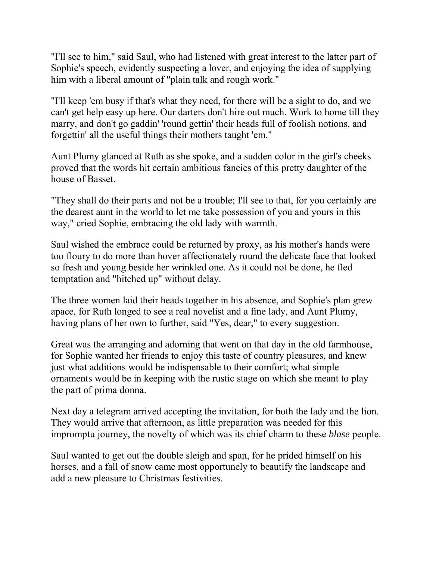"I'll see to him," said Saul, who had listened with great interest to the latter part of Sophie's speech, evidently suspecting a lover, and enjoying the idea of supplying him with a liberal amount of "plain talk and rough work."

"I'll keep 'em busy if that's what they need, for there will be a sight to do, and we can't get help easy up here. Our darters don't hire out much. Work to home till they marry, and don't go gaddin' 'round gettin' their heads full of foolish notions, and forgettin' all the useful things their mothers taught 'em."

Aunt Plumy glanced at Ruth as she spoke, and a sudden color in the girl's cheeks proved that the words hit certain ambitious fancies of this pretty daughter of the house of Basset.

"They shall do their parts and not be a trouble; I'll see to that, for you certainly are the dearest aunt in the world to let me take possession of you and yours in this way," cried Sophie, embracing the old lady with warmth.

Saul wished the embrace could be returned by proxy, as his mother's hands were too floury to do more than hover affectionately round the delicate face that looked so fresh and young beside her wrinkled one. As it could not be done, he fled temptation and "hitched up" without delay.

The three women laid their heads together in his absence, and Sophie's plan grew apace, for Ruth longed to see a real novelist and a fine lady, and Aunt Plumy, having plans of her own to further, said "Yes, dear," to every suggestion.

Great was the arranging and adorning that went on that day in the old farmhouse, for Sophie wanted her friends to enjoy this taste of country pleasures, and knew just what additions would be indispensable to their comfort; what simple ornaments would be in keeping with the rustic stage on which she meant to play the part of prima donna.

Next day a telegram arrived accepting the invitation, for both the lady and the lion. They would arrive that afternoon, as little preparation was needed for this impromptu journey, the novelty of which was its chief charm to these *blase* people.

Saul wanted to get out the double sleigh and span, for he prided himself on his horses, and a fall of snow came most opportunely to beautify the landscape and add a new pleasure to Christmas festivities.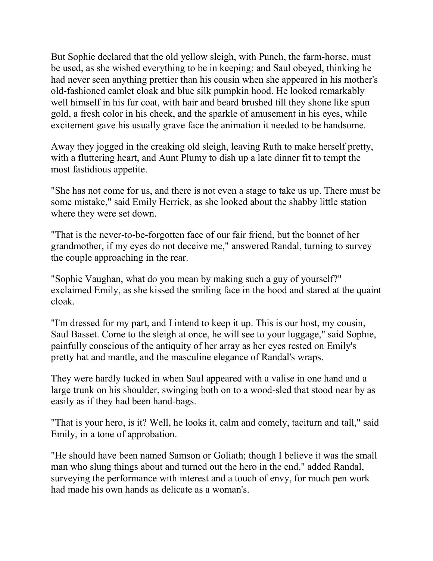But Sophie declared that the old yellow sleigh, with Punch, the farm-horse, must be used, as she wished everything to be in keeping; and Saul obeyed, thinking he had never seen anything prettier than his cousin when she appeared in his mother's old-fashioned camlet cloak and blue silk pumpkin hood. He looked remarkably well himself in his fur coat, with hair and beard brushed till they shone like spun gold, a fresh color in his cheek, and the sparkle of amusement in his eyes, while excitement gave his usually grave face the animation it needed to be handsome.

Away they jogged in the creaking old sleigh, leaving Ruth to make herself pretty, with a fluttering heart, and Aunt Plumy to dish up a late dinner fit to tempt the most fastidious appetite.

"She has not come for us, and there is not even a stage to take us up. There must be some mistake," said Emily Herrick, as she looked about the shabby little station where they were set down.

"That is the never-to-be-forgotten face of our fair friend, but the bonnet of her grandmother, if my eyes do not deceive me," answered Randal, turning to survey the couple approaching in the rear.

"Sophie Vaughan, what do you mean by making such a guy of yourself?" exclaimed Emily, as she kissed the smiling face in the hood and stared at the quaint cloak.

"I'm dressed for my part, and I intend to keep it up. This is our host, my cousin, Saul Basset. Come to the sleigh at once, he will see to your luggage," said Sophie, painfully conscious of the antiquity of her array as her eyes rested on Emily's pretty hat and mantle, and the masculine elegance of Randal's wraps.

They were hardly tucked in when Saul appeared with a valise in one hand and a large trunk on his shoulder, swinging both on to a wood-sled that stood near by as easily as if they had been hand-bags.

"That is your hero, is it? Well, he looks it, calm and comely, taciturn and tall," said Emily, in a tone of approbation.

"He should have been named Samson or Goliath; though I believe it was the small man who slung things about and turned out the hero in the end," added Randal, surveying the performance with interest and a touch of envy, for much pen work had made his own hands as delicate as a woman's.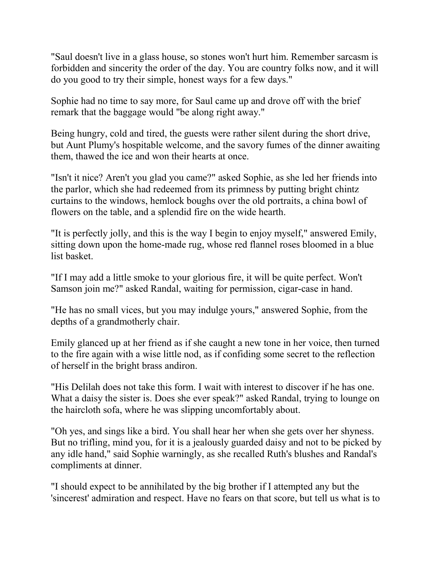"Saul doesn't live in a glass house, so stones won't hurt him. Remember sarcasm is forbidden and sincerity the order of the day. You are country folks now, and it will do you good to try their simple, honest ways for a few days."

Sophie had no time to say more, for Saul came up and drove off with the brief remark that the baggage would "be along right away."

Being hungry, cold and tired, the guests were rather silent during the short drive, but Aunt Plumy's hospitable welcome, and the savory fumes of the dinner awaiting them, thawed the ice and won their hearts at once.

"Isn't it nice? Aren't you glad you came?" asked Sophie, as she led her friends into the parlor, which she had redeemed from its primness by putting bright chintz curtains to the windows, hemlock boughs over the old portraits, a china bowl of flowers on the table, and a splendid fire on the wide hearth.

"It is perfectly jolly, and this is the way I begin to enjoy myself," answered Emily, sitting down upon the home-made rug, whose red flannel roses bloomed in a blue list basket.

"If I may add a little smoke to your glorious fire, it will be quite perfect. Won't Samson join me?" asked Randal, waiting for permission, cigar-case in hand.

"He has no small vices, but you may indulge yours," answered Sophie, from the depths of a grandmotherly chair.

Emily glanced up at her friend as if she caught a new tone in her voice, then turned to the fire again with a wise little nod, as if confiding some secret to the reflection of herself in the bright brass andiron.

"His Delilah does not take this form. I wait with interest to discover if he has one. What a daisy the sister is. Does she ever speak?" asked Randal, trying to lounge on the haircloth sofa, where he was slipping uncomfortably about.

"Oh yes, and sings like a bird. You shall hear her when she gets over her shyness. But no trifling, mind you, for it is a jealously guarded daisy and not to be picked by any idle hand," said Sophie warningly, as she recalled Ruth's blushes and Randal's compliments at dinner.

"I should expect to be annihilated by the big brother if I attempted any but the 'sincerest' admiration and respect. Have no fears on that score, but tell us what is to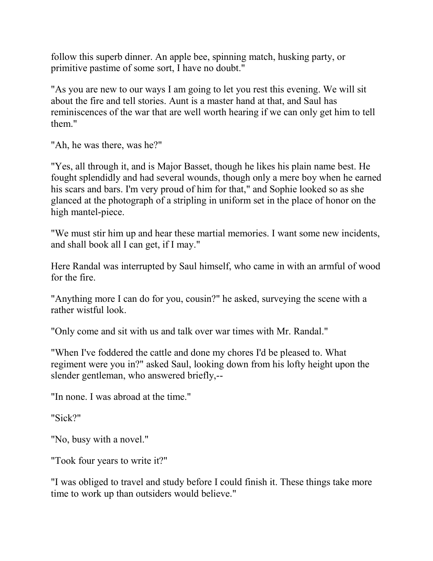follow this superb dinner. An apple bee, spinning match, husking party, or primitive pastime of some sort, I have no doubt."

"As you are new to our ways I am going to let you rest this evening. We will sit about the fire and tell stories. Aunt is a master hand at that, and Saul has reminiscences of the war that are well worth hearing if we can only get him to tell them."

"Ah, he was there, was he?"

"Yes, all through it, and is Major Basset, though he likes his plain name best. He fought splendidly and had several wounds, though only a mere boy when he earned his scars and bars. I'm very proud of him for that," and Sophie looked so as she glanced at the photograph of a stripling in uniform set in the place of honor on the high mantel-piece.

"We must stir him up and hear these martial memories. I want some new incidents, and shall book all I can get, if I may."

Here Randal was interrupted by Saul himself, who came in with an armful of wood for the fire.

"Anything more I can do for you, cousin?" he asked, surveying the scene with a rather wistful look.

"Only come and sit with us and talk over war times with Mr. Randal."

"When I've foddered the cattle and done my chores I'd be pleased to. What regiment were you in?" asked Saul, looking down from his lofty height upon the slender gentleman, who answered briefly,--

"In none. I was abroad at the time."

```
"Sick?"
```
"No, busy with a novel."

"Took four years to write it?"

"I was obliged to travel and study before I could finish it. These things take more time to work up than outsiders would believe."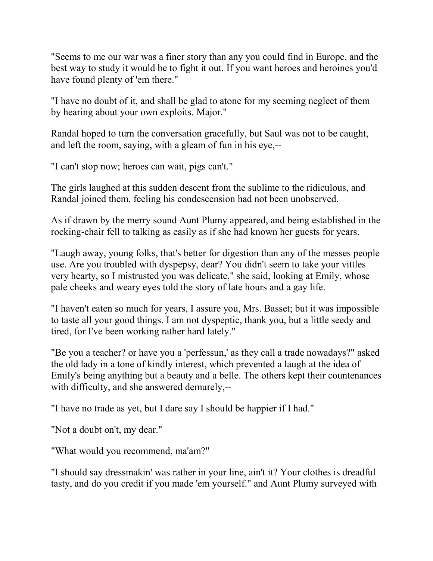"Seems to me our war was a finer story than any you could find in Europe, and the best way to study it would be to fight it out. If you want heroes and heroines you'd have found plenty of 'em there."

"I have no doubt of it, and shall be glad to atone for my seeming neglect of them by hearing about your own exploits. Major."

Randal hoped to turn the conversation gracefully, but Saul was not to be caught, and left the room, saying, with a gleam of fun in his eye,--

"I can't stop now; heroes can wait, pigs can't."

The girls laughed at this sudden descent from the sublime to the ridiculous, and Randal joined them, feeling his condescension had not been unobserved.

As if drawn by the merry sound Aunt Plumy appeared, and being established in the rocking-chair fell to talking as easily as if she had known her guests for years.

"Laugh away, young folks, that's better for digestion than any of the messes people use. Are you troubled with dyspepsy, dear? You didn't seem to take your vittles very hearty, so I mistrusted you was delicate," she said, looking at Emily, whose pale cheeks and weary eyes told the story of late hours and a gay life.

"I haven't eaten so much for years, I assure you, Mrs. Basset; but it was impossible to taste all your good things. I am not dyspeptic, thank you, but a little seedy and tired, for I've been working rather hard lately."

"Be you a teacher? or have you a 'perfessun,' as they call a trade nowadays?" asked the old lady in a tone of kindly interest, which prevented a laugh at the idea of Emily's being anything but a beauty and a belle. The others kept their countenances with difficulty, and she answered demurely,--

"I have no trade as yet, but I dare say I should be happier if I had."

"Not a doubt on't, my dear."

"What would you recommend, ma'am?"

"I should say dressmakin' was rather in your line, ain't it? Your clothes is dreadful tasty, and do you credit if you made 'em yourself." and Aunt Plumy surveyed with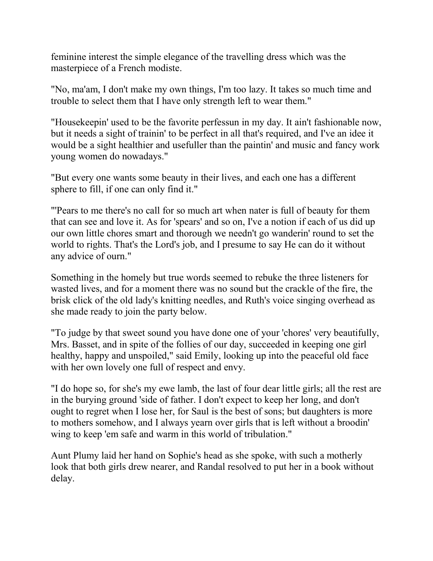feminine interest the simple elegance of the travelling dress which was the masterpiece of a French modiste.

"No, ma'am, I don't make my own things, I'm too lazy. It takes so much time and trouble to select them that I have only strength left to wear them."

"Housekeepin' used to be the favorite perfessun in my day. It ain't fashionable now, but it needs a sight of trainin' to be perfect in all that's required, and I've an idee it would be a sight healthier and usefuller than the paintin' and music and fancy work young women do nowadays."

"But every one wants some beauty in their lives, and each one has a different sphere to fill, if one can only find it."

"'Pears to me there's no call for so much art when nater is full of beauty for them that can see and love it. As for 'spears' and so on, I've a notion if each of us did up our own little chores smart and thorough we needn't go wanderin' round to set the world to rights. That's the Lord's job, and I presume to say He can do it without any advice of ourn."

Something in the homely but true words seemed to rebuke the three listeners for wasted lives, and for a moment there was no sound but the crackle of the fire, the brisk click of the old lady's knitting needles, and Ruth's voice singing overhead as she made ready to join the party below.

"To judge by that sweet sound you have done one of your 'chores' very beautifully, Mrs. Basset, and in spite of the follies of our day, succeeded in keeping one girl healthy, happy and unspoiled," said Emily, looking up into the peaceful old face with her own lovely one full of respect and envy.

"I do hope so, for she's my ewe lamb, the last of four dear little girls; all the rest are in the burying ground 'side of father. I don't expect to keep her long, and don't ought to regret when I lose her, for Saul is the best of sons; but daughters is more to mothers somehow, and I always yearn over girls that is left without a broodin' wing to keep 'em safe and warm in this world of tribulation."

Aunt Plumy laid her hand on Sophie's head as she spoke, with such a motherly look that both girls drew nearer, and Randal resolved to put her in a book without delay.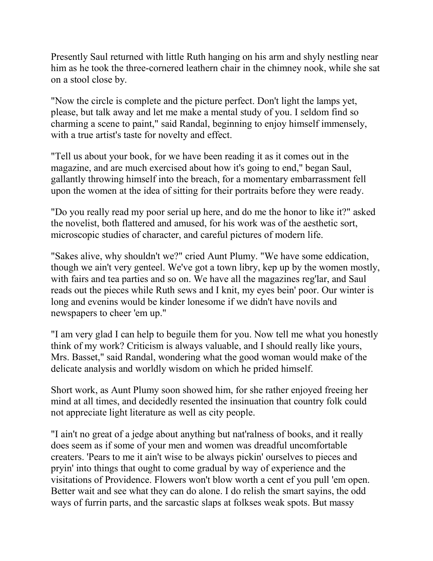Presently Saul returned with little Ruth hanging on his arm and shyly nestling near him as he took the three-cornered leathern chair in the chimney nook, while she sat on a stool close by.

"Now the circle is complete and the picture perfect. Don't light the lamps yet, please, but talk away and let me make a mental study of you. I seldom find so charming a scene to paint," said Randal, beginning to enjoy himself immensely, with a true artist's taste for novelty and effect.

"Tell us about your book, for we have been reading it as it comes out in the magazine, and are much exercised about how it's going to end," began Saul, gallantly throwing himself into the breach, for a momentary embarrassment fell upon the women at the idea of sitting for their portraits before they were ready.

"Do you really read my poor serial up here, and do me the honor to like it?" asked the novelist, both flattered and amused, for his work was of the aesthetic sort, microscopic studies of character, and careful pictures of modern life.

"Sakes alive, why shouldn't we?" cried Aunt Plumy. "We have some eddication, though we ain't very genteel. We've got a town libry, kep up by the women mostly, with fairs and tea parties and so on. We have all the magazines reg'lar, and Saul reads out the pieces while Ruth sews and I knit, my eyes bein' poor. Our winter is long and evenins would be kinder lonesome if we didn't have novils and newspapers to cheer 'em up."

"I am very glad I can help to beguile them for you. Now tell me what you honestly think of my work? Criticism is always valuable, and I should really like yours, Mrs. Basset," said Randal, wondering what the good woman would make of the delicate analysis and worldly wisdom on which he prided himself.

Short work, as Aunt Plumy soon showed him, for she rather enjoyed freeing her mind at all times, and decidedly resented the insinuation that country folk could not appreciate light literature as well as city people.

"I ain't no great of a jedge about anything but nat'ralness of books, and it really does seem as if some of your men and women was dreadful uncomfortable creaters. 'Pears to me it ain't wise to be always pickin' ourselves to pieces and pryin' into things that ought to come gradual by way of experience and the visitations of Providence. Flowers won't blow worth a cent ef you pull 'em open. Better wait and see what they can do alone. I do relish the smart sayins, the odd ways of furrin parts, and the sarcastic slaps at folkses weak spots. But massy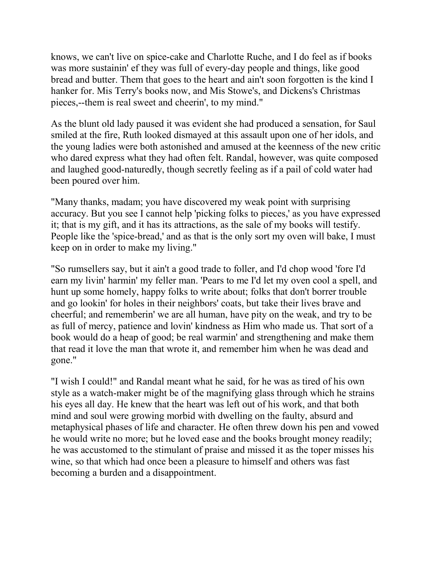knows, we can't live on spice-cake and Charlotte Ruche, and I do feel as if books was more sustainin' ef they was full of every-day people and things, like good bread and butter. Them that goes to the heart and ain't soon forgotten is the kind I hanker for. Mis Terry's books now, and Mis Stowe's, and Dickens's Christmas pieces,--them is real sweet and cheerin', to my mind."

As the blunt old lady paused it was evident she had produced a sensation, for Saul smiled at the fire, Ruth looked dismayed at this assault upon one of her idols, and the young ladies were both astonished and amused at the keenness of the new critic who dared express what they had often felt. Randal, however, was quite composed and laughed good-naturedly, though secretly feeling as if a pail of cold water had been poured over him.

"Many thanks, madam; you have discovered my weak point with surprising accuracy. But you see I cannot help 'picking folks to pieces,' as you have expressed it; that is my gift, and it has its attractions, as the sale of my books will testify. People like the 'spice-bread,' and as that is the only sort my oven will bake, I must keep on in order to make my living."

"So rumsellers say, but it ain't a good trade to foller, and I'd chop wood 'fore I'd earn my livin' harmin' my feller man. 'Pears to me I'd let my oven cool a spell, and hunt up some homely, happy folks to write about; folks that don't borrer trouble and go lookin' for holes in their neighbors' coats, but take their lives brave and cheerful; and rememberin' we are all human, have pity on the weak, and try to be as full of mercy, patience and lovin' kindness as Him who made us. That sort of a book would do a heap of good; be real warmin' and strengthening and make them that read it love the man that wrote it, and remember him when he was dead and gone."

"I wish I could!" and Randal meant what he said, for he was as tired of his own style as a watch-maker might be of the magnifying glass through which he strains his eyes all day. He knew that the heart was left out of his work, and that both mind and soul were growing morbid with dwelling on the faulty, absurd and metaphysical phases of life and character. He often threw down his pen and vowed he would write no more; but he loved ease and the books brought money readily; he was accustomed to the stimulant of praise and missed it as the toper misses his wine, so that which had once been a pleasure to himself and others was fast becoming a burden and a disappointment.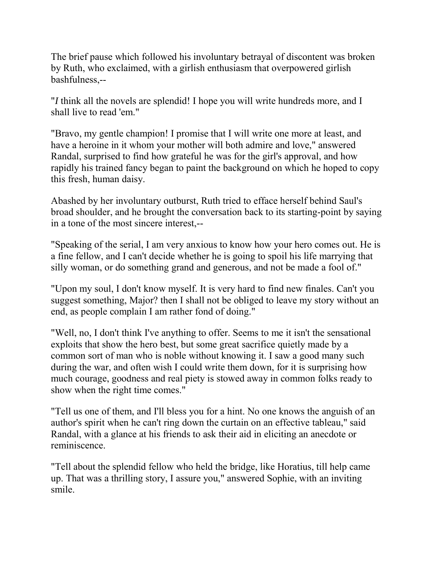The brief pause which followed his involuntary betrayal of discontent was broken by Ruth, who exclaimed, with a girlish enthusiasm that overpowered girlish bashfulness,--

"*I* think all the novels are splendid! I hope you will write hundreds more, and I shall live to read 'em."

"Bravo, my gentle champion! I promise that I will write one more at least, and have a heroine in it whom your mother will both admire and love," answered Randal, surprised to find how grateful he was for the girl's approval, and how rapidly his trained fancy began to paint the background on which he hoped to copy this fresh, human daisy.

Abashed by her involuntary outburst, Ruth tried to efface herself behind Saul's broad shoulder, and he brought the conversation back to its starting-point by saying in a tone of the most sincere interest,--

"Speaking of the serial, I am very anxious to know how your hero comes out. He is a fine fellow, and I can't decide whether he is going to spoil his life marrying that silly woman, or do something grand and generous, and not be made a fool of."

"Upon my soul, I don't know myself. It is very hard to find new finales. Can't you suggest something, Major? then I shall not be obliged to leave my story without an end, as people complain I am rather fond of doing."

"Well, no, I don't think I've anything to offer. Seems to me it isn't the sensational exploits that show the hero best, but some great sacrifice quietly made by a common sort of man who is noble without knowing it. I saw a good many such during the war, and often wish I could write them down, for it is surprising how much courage, goodness and real piety is stowed away in common folks ready to show when the right time comes."

"Tell us one of them, and I'll bless you for a hint. No one knows the anguish of an author's spirit when he can't ring down the curtain on an effective tableau," said Randal, with a glance at his friends to ask their aid in eliciting an anecdote or reminiscence.

"Tell about the splendid fellow who held the bridge, like Horatius, till help came up. That was a thrilling story, I assure you," answered Sophie, with an inviting smile.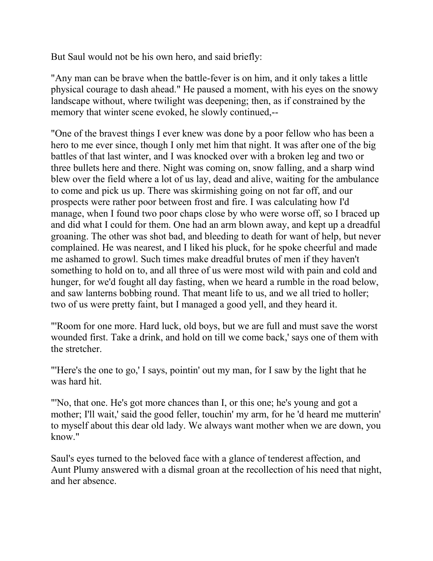But Saul would not be his own hero, and said briefly:

"Any man can be brave when the battle-fever is on him, and it only takes a little physical courage to dash ahead." He paused a moment, with his eyes on the snowy landscape without, where twilight was deepening; then, as if constrained by the memory that winter scene evoked, he slowly continued,--

"One of the bravest things I ever knew was done by a poor fellow who has been a hero to me ever since, though I only met him that night. It was after one of the big battles of that last winter, and I was knocked over with a broken leg and two or three bullets here and there. Night was coming on, snow falling, and a sharp wind blew over the field where a lot of us lay, dead and alive, waiting for the ambulance to come and pick us up. There was skirmishing going on not far off, and our prospects were rather poor between frost and fire. I was calculating how I'd manage, when I found two poor chaps close by who were worse off, so I braced up and did what I could for them. One had an arm blown away, and kept up a dreadful groaning. The other was shot bad, and bleeding to death for want of help, but never complained. He was nearest, and I liked his pluck, for he spoke cheerful and made me ashamed to growl. Such times make dreadful brutes of men if they haven't something to hold on to, and all three of us were most wild with pain and cold and hunger, for we'd fought all day fasting, when we heard a rumble in the road below, and saw lanterns bobbing round. That meant life to us, and we all tried to holler; two of us were pretty faint, but I managed a good yell, and they heard it.

"'Room for one more. Hard luck, old boys, but we are full and must save the worst wounded first. Take a drink, and hold on till we come back,' says one of them with the stretcher.

"'Here's the one to go,' I says, pointin' out my man, for I saw by the light that he was hard hit.

"'No, that one. He's got more chances than I, or this one; he's young and got a mother; I'll wait,' said the good feller, touchin' my arm, for he 'd heard me mutterin' to myself about this dear old lady. We always want mother when we are down, you know."

Saul's eyes turned to the beloved face with a glance of tenderest affection, and Aunt Plumy answered with a dismal groan at the recollection of his need that night, and her absence.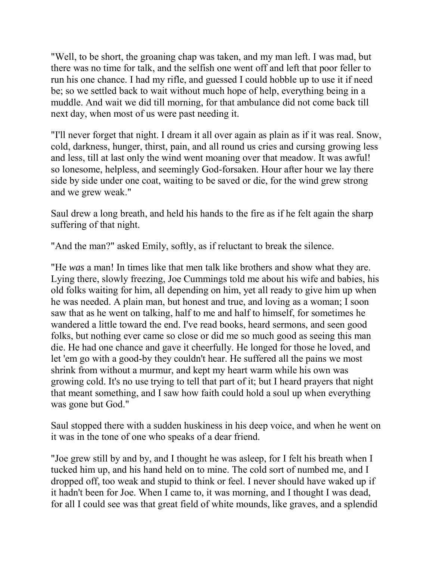"Well, to be short, the groaning chap was taken, and my man left. I was mad, but there was no time for talk, and the selfish one went off and left that poor feller to run his one chance. I had my rifle, and guessed I could hobble up to use it if need be; so we settled back to wait without much hope of help, everything being in a muddle. And wait we did till morning, for that ambulance did not come back till next day, when most of us were past needing it.

"I'll never forget that night. I dream it all over again as plain as if it was real. Snow, cold, darkness, hunger, thirst, pain, and all round us cries and cursing growing less and less, till at last only the wind went moaning over that meadow. It was awful! so lonesome, helpless, and seemingly God-forsaken. Hour after hour we lay there side by side under one coat, waiting to be saved or die, for the wind grew strong and we grew weak."

Saul drew a long breath, and held his hands to the fire as if he felt again the sharp suffering of that night.

"And the man?" asked Emily, softly, as if reluctant to break the silence.

"He *was* a man! In times like that men talk like brothers and show what they are. Lying there, slowly freezing, Joe Cummings told me about his wife and babies, his old folks waiting for him, all depending on him, yet all ready to give him up when he was needed. A plain man, but honest and true, and loving as a woman; I soon saw that as he went on talking, half to me and half to himself, for sometimes he wandered a little toward the end. I've read books, heard sermons, and seen good folks, but nothing ever came so close or did me so much good as seeing this man die. He had one chance and gave it cheerfully. He longed for those he loved, and let 'em go with a good-by they couldn't hear. He suffered all the pains we most shrink from without a murmur, and kept my heart warm while his own was growing cold. It's no use trying to tell that part of it; but I heard prayers that night that meant something, and I saw how faith could hold a soul up when everything was gone but God."

Saul stopped there with a sudden huskiness in his deep voice, and when he went on it was in the tone of one who speaks of a dear friend.

"Joe grew still by and by, and I thought he was asleep, for I felt his breath when I tucked him up, and his hand held on to mine. The cold sort of numbed me, and I dropped off, too weak and stupid to think or feel. I never should have waked up if it hadn't been for Joe. When I came to, it was morning, and I thought I was dead, for all I could see was that great field of white mounds, like graves, and a splendid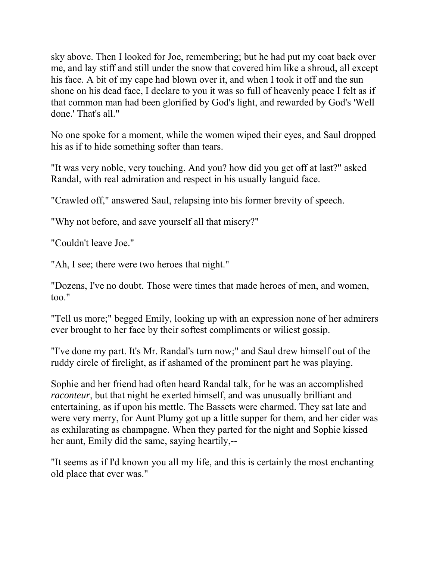sky above. Then I looked for Joe, remembering; but he had put my coat back over me, and lay stiff and still under the snow that covered him like a shroud, all except his face. A bit of my cape had blown over it, and when I took it off and the sun shone on his dead face, I declare to you it was so full of heavenly peace I felt as if that common man had been glorified by God's light, and rewarded by God's 'Well done.' That's all."

No one spoke for a moment, while the women wiped their eyes, and Saul dropped his as if to hide something softer than tears.

"It was very noble, very touching. And you? how did you get off at last?" asked Randal, with real admiration and respect in his usually languid face.

"Crawled off," answered Saul, relapsing into his former brevity of speech.

"Why not before, and save yourself all that misery?"

"Couldn't leave Joe."

"Ah, I see; there were two heroes that night."

"Dozens, I've no doubt. Those were times that made heroes of men, and women, too."

"Tell us more;" begged Emily, looking up with an expression none of her admirers ever brought to her face by their softest compliments or wiliest gossip.

"I've done my part. It's Mr. Randal's turn now;" and Saul drew himself out of the ruddy circle of firelight, as if ashamed of the prominent part he was playing.

Sophie and her friend had often heard Randal talk, for he was an accomplished *raconteur*, but that night he exerted himself, and was unusually brilliant and entertaining, as if upon his mettle. The Bassets were charmed. They sat late and were very merry, for Aunt Plumy got up a little supper for them, and her cider was as exhilarating as champagne. When they parted for the night and Sophie kissed her aunt, Emily did the same, saying heartily,--

"It seems as if I'd known you all my life, and this is certainly the most enchanting old place that ever was."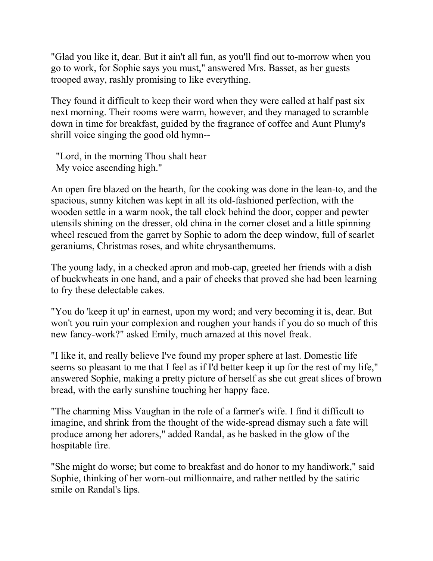"Glad you like it, dear. But it ain't all fun, as you'll find out to-morrow when you go to work, for Sophie says you must," answered Mrs. Basset, as her guests trooped away, rashly promising to like everything.

They found it difficult to keep their word when they were called at half past six next morning. Their rooms were warm, however, and they managed to scramble down in time for breakfast, guided by the fragrance of coffee and Aunt Plumy's shrill voice singing the good old hymn--

 "Lord, in the morning Thou shalt hear My voice ascending high."

An open fire blazed on the hearth, for the cooking was done in the lean-to, and the spacious, sunny kitchen was kept in all its old-fashioned perfection, with the wooden settle in a warm nook, the tall clock behind the door, copper and pewter utensils shining on the dresser, old china in the corner closet and a little spinning wheel rescued from the garret by Sophie to adorn the deep window, full of scarlet geraniums, Christmas roses, and white chrysanthemums.

The young lady, in a checked apron and mob-cap, greeted her friends with a dish of buckwheats in one hand, and a pair of cheeks that proved she had been learning to fry these delectable cakes.

"You do 'keep it up' in earnest, upon my word; and very becoming it is, dear. But won't you ruin your complexion and roughen your hands if you do so much of this new fancy-work?" asked Emily, much amazed at this novel freak.

"I like it, and really believe I've found my proper sphere at last. Domestic life seems so pleasant to me that I feel as if I'd better keep it up for the rest of my life," answered Sophie, making a pretty picture of herself as she cut great slices of brown bread, with the early sunshine touching her happy face.

"The charming Miss Vaughan in the role of a farmer's wife. I find it difficult to imagine, and shrink from the thought of the wide-spread dismay such a fate will produce among her adorers," added Randal, as he basked in the glow of the hospitable fire.

"She might do worse; but come to breakfast and do honor to my handiwork," said Sophie, thinking of her worn-out millionnaire, and rather nettled by the satiric smile on Randal's lips.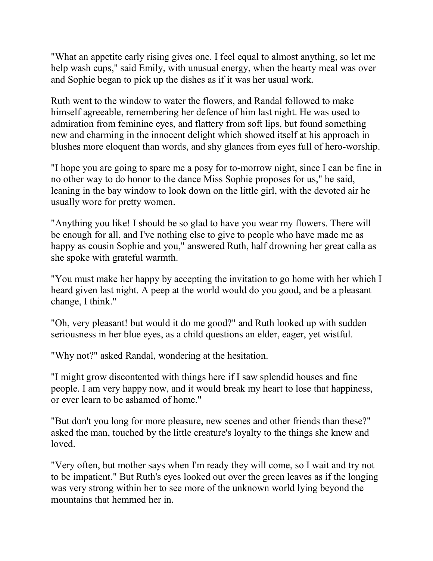"What an appetite early rising gives one. I feel equal to almost anything, so let me help wash cups," said Emily, with unusual energy, when the hearty meal was over and Sophie began to pick up the dishes as if it was her usual work.

Ruth went to the window to water the flowers, and Randal followed to make himself agreeable, remembering her defence of him last night. He was used to admiration from feminine eyes, and flattery from soft lips, but found something new and charming in the innocent delight which showed itself at his approach in blushes more eloquent than words, and shy glances from eyes full of hero-worship.

"I hope you are going to spare me a posy for to-morrow night, since I can be fine in no other way to do honor to the dance Miss Sophie proposes for us," he said, leaning in the bay window to look down on the little girl, with the devoted air he usually wore for pretty women.

"Anything you like! I should be so glad to have you wear my flowers. There will be enough for all, and I've nothing else to give to people who have made me as happy as cousin Sophie and you," answered Ruth, half drowning her great calla as she spoke with grateful warmth.

"You must make her happy by accepting the invitation to go home with her which I heard given last night. A peep at the world would do you good, and be a pleasant change, I think."

"Oh, very pleasant! but would it do me good?" and Ruth looked up with sudden seriousness in her blue eyes, as a child questions an elder, eager, yet wistful.

"Why not?" asked Randal, wondering at the hesitation.

"I might grow discontented with things here if I saw splendid houses and fine people. I am very happy now, and it would break my heart to lose that happiness, or ever learn to be ashamed of home."

"But don't you long for more pleasure, new scenes and other friends than these?" asked the man, touched by the little creature's loyalty to the things she knew and loved.

"Very often, but mother says when I'm ready they will come, so I wait and try not to be impatient." But Ruth's eyes looked out over the green leaves as if the longing was very strong within her to see more of the unknown world lying beyond the mountains that hemmed her in.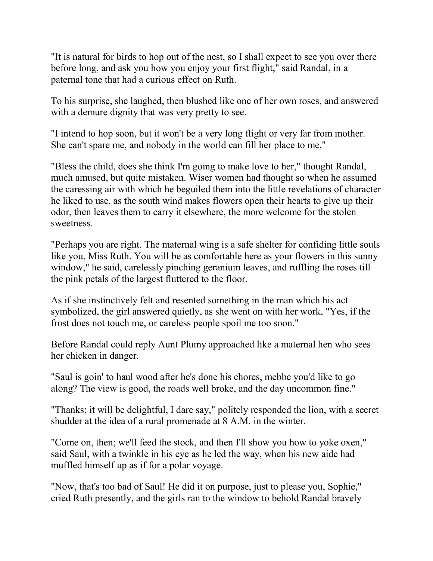"It is natural for birds to hop out of the nest, so I shall expect to see you over there before long, and ask you how you enjoy your first flight," said Randal, in a paternal tone that had a curious effect on Ruth.

To his surprise, she laughed, then blushed like one of her own roses, and answered with a demure dignity that was very pretty to see.

"I intend to hop soon, but it won't be a very long flight or very far from mother. She can't spare me, and nobody in the world can fill her place to me."

"Bless the child, does she think I'm going to make love to her," thought Randal, much amused, but quite mistaken. Wiser women had thought so when he assumed the caressing air with which he beguiled them into the little revelations of character he liked to use, as the south wind makes flowers open their hearts to give up their odor, then leaves them to carry it elsewhere, the more welcome for the stolen sweetness.

"Perhaps you are right. The maternal wing is a safe shelter for confiding little souls like you, Miss Ruth. You will be as comfortable here as your flowers in this sunny window," he said, carelessly pinching geranium leaves, and ruffling the roses till the pink petals of the largest fluttered to the floor.

As if she instinctively felt and resented something in the man which his act symbolized, the girl answered quietly, as she went on with her work, "Yes, if the frost does not touch me, or careless people spoil me too soon."

Before Randal could reply Aunt Plumy approached like a maternal hen who sees her chicken in danger.

"Saul is goin' to haul wood after he's done his chores, mebbe you'd like to go along? The view is good, the roads well broke, and the day uncommon fine."

"Thanks; it will be delightful, I dare say," politely responded the lion, with a secret shudder at the idea of a rural promenade at 8 A.M. in the winter.

"Come on, then; we'll feed the stock, and then I'll show you how to yoke oxen," said Saul, with a twinkle in his eye as he led the way, when his new aide had muffled himself up as if for a polar voyage.

"Now, that's too bad of Saul! He did it on purpose, just to please you, Sophie," cried Ruth presently, and the girls ran to the window to behold Randal bravely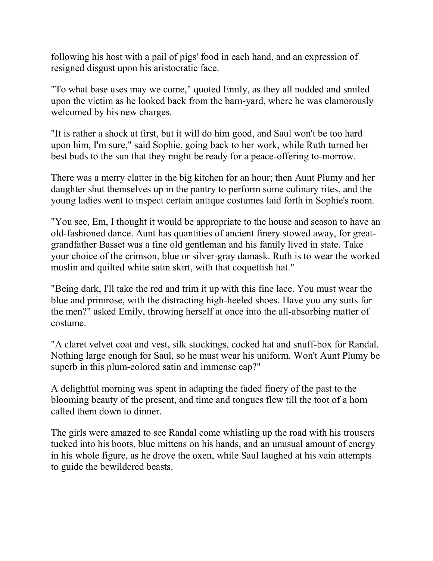following his host with a pail of pigs' food in each hand, and an expression of resigned disgust upon his aristocratic face.

"To what base uses may we come," quoted Emily, as they all nodded and smiled upon the victim as he looked back from the barn-yard, where he was clamorously welcomed by his new charges.

"It is rather a shock at first, but it will do him good, and Saul won't be too hard upon him, I'm sure," said Sophie, going back to her work, while Ruth turned her best buds to the sun that they might be ready for a peace-offering to-morrow.

There was a merry clatter in the big kitchen for an hour; then Aunt Plumy and her daughter shut themselves up in the pantry to perform some culinary rites, and the young ladies went to inspect certain antique costumes laid forth in Sophie's room.

"You see, Em, I thought it would be appropriate to the house and season to have an old-fashioned dance. Aunt has quantities of ancient finery stowed away, for greatgrandfather Basset was a fine old gentleman and his family lived in state. Take your choice of the crimson, blue or silver-gray damask. Ruth is to wear the worked muslin and quilted white satin skirt, with that coquettish hat."

"Being dark, I'll take the red and trim it up with this fine lace. You must wear the blue and primrose, with the distracting high-heeled shoes. Have you any suits for the men?" asked Emily, throwing herself at once into the all-absorbing matter of costume.

"A claret velvet coat and vest, silk stockings, cocked hat and snuff-box for Randal. Nothing large enough for Saul, so he must wear his uniform. Won't Aunt Plumy be superb in this plum-colored satin and immense cap?"

A delightful morning was spent in adapting the faded finery of the past to the blooming beauty of the present, and time and tongues flew till the toot of a horn called them down to dinner.

The girls were amazed to see Randal come whistling up the road with his trousers tucked into his boots, blue mittens on his hands, and an unusual amount of energy in his whole figure, as he drove the oxen, while Saul laughed at his vain attempts to guide the bewildered beasts.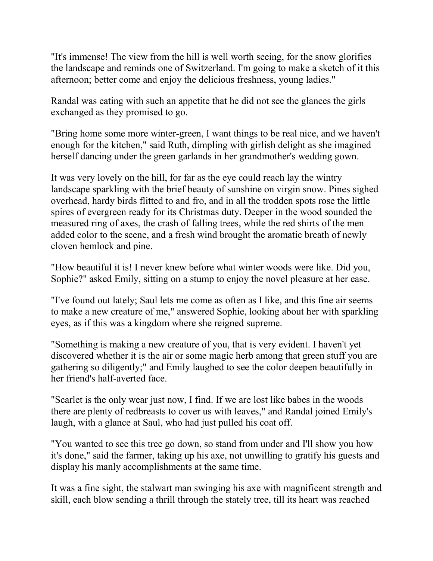"It's immense! The view from the hill is well worth seeing, for the snow glorifies the landscape and reminds one of Switzerland. I'm going to make a sketch of it this afternoon; better come and enjoy the delicious freshness, young ladies."

Randal was eating with such an appetite that he did not see the glances the girls exchanged as they promised to go.

"Bring home some more winter-green, I want things to be real nice, and we haven't enough for the kitchen," said Ruth, dimpling with girlish delight as she imagined herself dancing under the green garlands in her grandmother's wedding gown.

It was very lovely on the hill, for far as the eye could reach lay the wintry landscape sparkling with the brief beauty of sunshine on virgin snow. Pines sighed overhead, hardy birds flitted to and fro, and in all the trodden spots rose the little spires of evergreen ready for its Christmas duty. Deeper in the wood sounded the measured ring of axes, the crash of falling trees, while the red shirts of the men added color to the scene, and a fresh wind brought the aromatic breath of newly cloven hemlock and pine.

"How beautiful it is! I never knew before what winter woods were like. Did you, Sophie?" asked Emily, sitting on a stump to enjoy the novel pleasure at her ease.

"I've found out lately; Saul lets me come as often as I like, and this fine air seems to make a new creature of me," answered Sophie, looking about her with sparkling eyes, as if this was a kingdom where she reigned supreme.

"Something is making a new creature of you, that is very evident. I haven't yet discovered whether it is the air or some magic herb among that green stuff you are gathering so diligently;" and Emily laughed to see the color deepen beautifully in her friend's half-averted face.

"Scarlet is the only wear just now, I find. If we are lost like babes in the woods there are plenty of redbreasts to cover us with leaves," and Randal joined Emily's laugh, with a glance at Saul, who had just pulled his coat off.

"You wanted to see this tree go down, so stand from under and I'll show you how it's done," said the farmer, taking up his axe, not unwilling to gratify his guests and display his manly accomplishments at the same time.

It was a fine sight, the stalwart man swinging his axe with magnificent strength and skill, each blow sending a thrill through the stately tree, till its heart was reached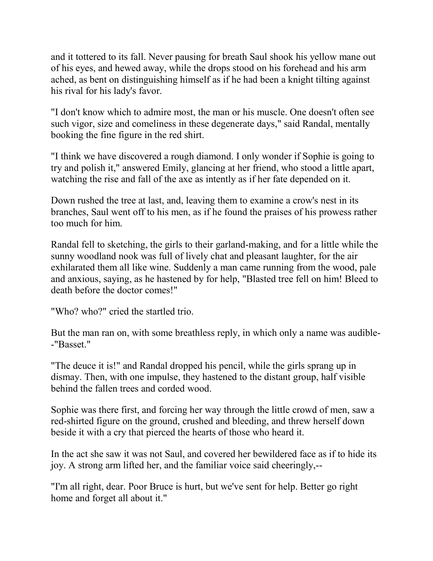and it tottered to its fall. Never pausing for breath Saul shook his yellow mane out of his eyes, and hewed away, while the drops stood on his forehead and his arm ached, as bent on distinguishing himself as if he had been a knight tilting against his rival for his lady's favor.

"I don't know which to admire most, the man or his muscle. One doesn't often see such vigor, size and comeliness in these degenerate days," said Randal, mentally booking the fine figure in the red shirt.

"I think we have discovered a rough diamond. I only wonder if Sophie is going to try and polish it," answered Emily, glancing at her friend, who stood a little apart, watching the rise and fall of the axe as intently as if her fate depended on it.

Down rushed the tree at last, and, leaving them to examine a crow's nest in its branches, Saul went off to his men, as if he found the praises of his prowess rather too much for him.

Randal fell to sketching, the girls to their garland-making, and for a little while the sunny woodland nook was full of lively chat and pleasant laughter, for the air exhilarated them all like wine. Suddenly a man came running from the wood, pale and anxious, saying, as he hastened by for help, "Blasted tree fell on him! Bleed to death before the doctor comes!"

"Who? who?" cried the startled trio.

But the man ran on, with some breathless reply, in which only a name was audible- -"Basset."

"The deuce it is!" and Randal dropped his pencil, while the girls sprang up in dismay. Then, with one impulse, they hastened to the distant group, half visible behind the fallen trees and corded wood.

Sophie was there first, and forcing her way through the little crowd of men, saw a red-shirted figure on the ground, crushed and bleeding, and threw herself down beside it with a cry that pierced the hearts of those who heard it.

In the act she saw it was not Saul, and covered her bewildered face as if to hide its joy. A strong arm lifted her, and the familiar voice said cheeringly,--

"I'm all right, dear. Poor Bruce is hurt, but we've sent for help. Better go right home and forget all about it."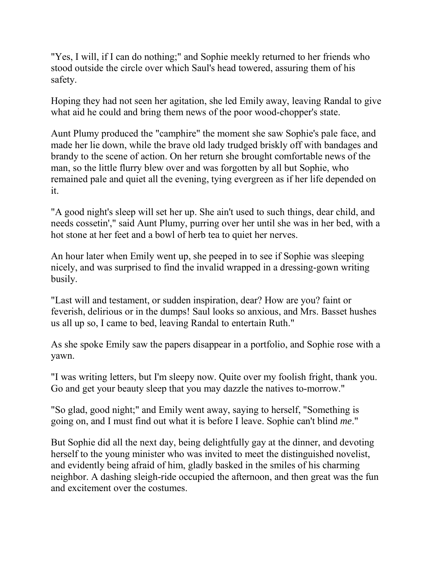"Yes, I will, if I can do nothing;" and Sophie meekly returned to her friends who stood outside the circle over which Saul's head towered, assuring them of his safety.

Hoping they had not seen her agitation, she led Emily away, leaving Randal to give what aid he could and bring them news of the poor wood-chopper's state.

Aunt Plumy produced the "camphire" the moment she saw Sophie's pale face, and made her lie down, while the brave old lady trudged briskly off with bandages and brandy to the scene of action. On her return she brought comfortable news of the man, so the little flurry blew over and was forgotten by all but Sophie, who remained pale and quiet all the evening, tying evergreen as if her life depended on it.

"A good night's sleep will set her up. She ain't used to such things, dear child, and needs cossetin'," said Aunt Plumy, purring over her until she was in her bed, with a hot stone at her feet and a bowl of herb tea to quiet her nerves.

An hour later when Emily went up, she peeped in to see if Sophie was sleeping nicely, and was surprised to find the invalid wrapped in a dressing-gown writing busily.

"Last will and testament, or sudden inspiration, dear? How are you? faint or feverish, delirious or in the dumps! Saul looks so anxious, and Mrs. Basset hushes us all up so, I came to bed, leaving Randal to entertain Ruth."

As she spoke Emily saw the papers disappear in a portfolio, and Sophie rose with a yawn.

"I was writing letters, but I'm sleepy now. Quite over my foolish fright, thank you. Go and get your beauty sleep that you may dazzle the natives to-morrow."

"So glad, good night;" and Emily went away, saying to herself, "Something is going on, and I must find out what it is before I leave. Sophie can't blind *me*."

But Sophie did all the next day, being delightfully gay at the dinner, and devoting herself to the young minister who was invited to meet the distinguished novelist, and evidently being afraid of him, gladly basked in the smiles of his charming neighbor. A dashing sleigh-ride occupied the afternoon, and then great was the fun and excitement over the costumes.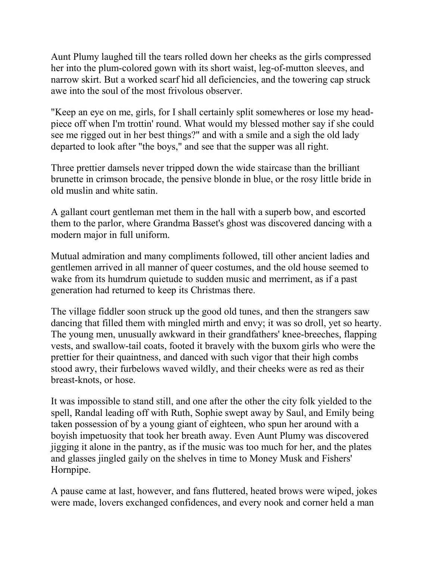Aunt Plumy laughed till the tears rolled down her cheeks as the girls compressed her into the plum-colored gown with its short waist, leg-of-mutton sleeves, and narrow skirt. But a worked scarf hid all deficiencies, and the towering cap struck awe into the soul of the most frivolous observer.

"Keep an eye on me, girls, for I shall certainly split somewheres or lose my headpiece off when I'm trottin' round. What would my blessed mother say if she could see me rigged out in her best things?" and with a smile and a sigh the old lady departed to look after "the boys," and see that the supper was all right.

Three prettier damsels never tripped down the wide staircase than the brilliant brunette in crimson brocade, the pensive blonde in blue, or the rosy little bride in old muslin and white satin.

A gallant court gentleman met them in the hall with a superb bow, and escorted them to the parlor, where Grandma Basset's ghost was discovered dancing with a modern major in full uniform.

Mutual admiration and many compliments followed, till other ancient ladies and gentlemen arrived in all manner of queer costumes, and the old house seemed to wake from its humdrum quietude to sudden music and merriment, as if a past generation had returned to keep its Christmas there.

The village fiddler soon struck up the good old tunes, and then the strangers saw dancing that filled them with mingled mirth and envy; it was so droll, yet so hearty. The young men, unusually awkward in their grandfathers' knee-breeches, flapping vests, and swallow-tail coats, footed it bravely with the buxom girls who were the prettier for their quaintness, and danced with such vigor that their high combs stood awry, their furbelows waved wildly, and their cheeks were as red as their breast-knots, or hose.

It was impossible to stand still, and one after the other the city folk yielded to the spell, Randal leading off with Ruth, Sophie swept away by Saul, and Emily being taken possession of by a young giant of eighteen, who spun her around with a boyish impetuosity that took her breath away. Even Aunt Plumy was discovered jigging it alone in the pantry, as if the music was too much for her, and the plates and glasses jingled gaily on the shelves in time to Money Musk and Fishers' Hornpipe.

A pause came at last, however, and fans fluttered, heated brows were wiped, jokes were made, lovers exchanged confidences, and every nook and corner held a man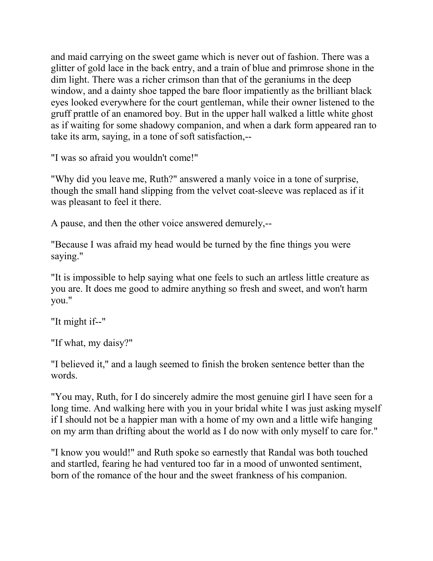and maid carrying on the sweet game which is never out of fashion. There was a glitter of gold lace in the back entry, and a train of blue and primrose shone in the dim light. There was a richer crimson than that of the geraniums in the deep window, and a dainty shoe tapped the bare floor impatiently as the brilliant black eyes looked everywhere for the court gentleman, while their owner listened to the gruff prattle of an enamored boy. But in the upper hall walked a little white ghost as if waiting for some shadowy companion, and when a dark form appeared ran to take its arm, saying, in a tone of soft satisfaction,--

"I was so afraid you wouldn't come!"

"Why did you leave me, Ruth?" answered a manly voice in a tone of surprise, though the small hand slipping from the velvet coat-sleeve was replaced as if it was pleasant to feel it there.

A pause, and then the other voice answered demurely,--

"Because I was afraid my head would be turned by the fine things you were saying."

"It is impossible to help saying what one feels to such an artless little creature as you are. It does me good to admire anything so fresh and sweet, and won't harm you."

"It might if--"

"If what, my daisy?"

"I believed it," and a laugh seemed to finish the broken sentence better than the words.

"You may, Ruth, for I do sincerely admire the most genuine girl I have seen for a long time. And walking here with you in your bridal white I was just asking myself if I should not be a happier man with a home of my own and a little wife hanging on my arm than drifting about the world as I do now with only myself to care for."

"I know you would!" and Ruth spoke so earnestly that Randal was both touched and startled, fearing he had ventured too far in a mood of unwonted sentiment, born of the romance of the hour and the sweet frankness of his companion.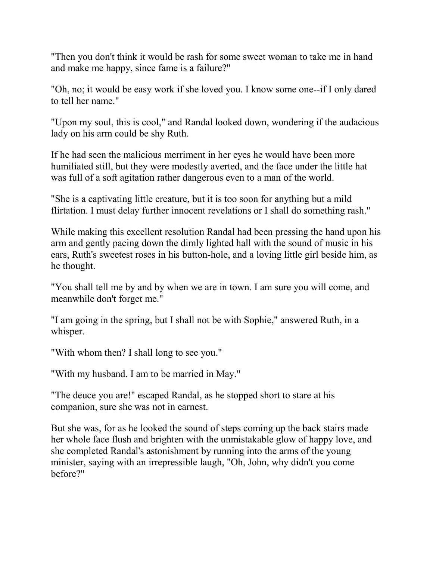"Then you don't think it would be rash for some sweet woman to take me in hand and make me happy, since fame is a failure?"

"Oh, no; it would be easy work if she loved you. I know some one--if I only dared to tell her name."

"Upon my soul, this is cool," and Randal looked down, wondering if the audacious lady on his arm could be shy Ruth.

If he had seen the malicious merriment in her eyes he would have been more humiliated still, but they were modestly averted, and the face under the little hat was full of a soft agitation rather dangerous even to a man of the world.

"She is a captivating little creature, but it is too soon for anything but a mild flirtation. I must delay further innocent revelations or I shall do something rash."

While making this excellent resolution Randal had been pressing the hand upon his arm and gently pacing down the dimly lighted hall with the sound of music in his ears, Ruth's sweetest roses in his button-hole, and a loving little girl beside him, as he thought.

"You shall tell me by and by when we are in town. I am sure you will come, and meanwhile don't forget me."

"I am going in the spring, but I shall not be with Sophie," answered Ruth, in a whisper.

"With whom then? I shall long to see you."

"With my husband. I am to be married in May."

"The deuce you are!" escaped Randal, as he stopped short to stare at his companion, sure she was not in earnest.

But she was, for as he looked the sound of steps coming up the back stairs made her whole face flush and brighten with the unmistakable glow of happy love, and she completed Randal's astonishment by running into the arms of the young minister, saying with an irrepressible laugh, "Oh, John, why didn't you come before?"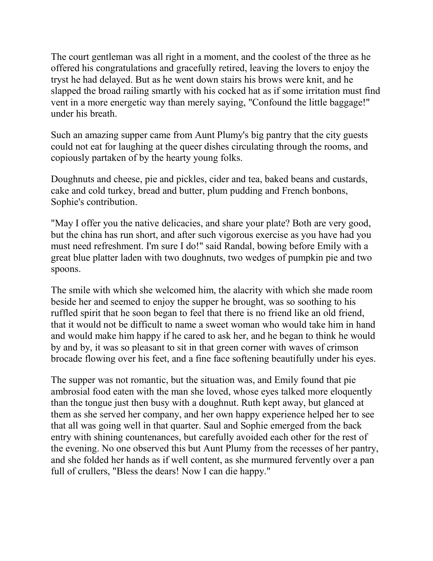The court gentleman was all right in a moment, and the coolest of the three as he offered his congratulations and gracefully retired, leaving the lovers to enjoy the tryst he had delayed. But as he went down stairs his brows were knit, and he slapped the broad railing smartly with his cocked hat as if some irritation must find vent in a more energetic way than merely saying, "Confound the little baggage!" under his breath.

Such an amazing supper came from Aunt Plumy's big pantry that the city guests could not eat for laughing at the queer dishes circulating through the rooms, and copiously partaken of by the hearty young folks.

Doughnuts and cheese, pie and pickles, cider and tea, baked beans and custards, cake and cold turkey, bread and butter, plum pudding and French bonbons, Sophie's contribution.

"May I offer you the native delicacies, and share your plate? Both are very good, but the china has run short, and after such vigorous exercise as you have had you must need refreshment. I'm sure I do!" said Randal, bowing before Emily with a great blue platter laden with two doughnuts, two wedges of pumpkin pie and two spoons.

The smile with which she welcomed him, the alacrity with which she made room beside her and seemed to enjoy the supper he brought, was so soothing to his ruffled spirit that he soon began to feel that there is no friend like an old friend, that it would not be difficult to name a sweet woman who would take him in hand and would make him happy if he cared to ask her, and he began to think he would by and by, it was so pleasant to sit in that green corner with waves of crimson brocade flowing over his feet, and a fine face softening beautifully under his eyes.

The supper was not romantic, but the situation was, and Emily found that pie ambrosial food eaten with the man she loved, whose eyes talked more eloquently than the tongue just then busy with a doughnut. Ruth kept away, but glanced at them as she served her company, and her own happy experience helped her to see that all was going well in that quarter. Saul and Sophie emerged from the back entry with shining countenances, but carefully avoided each other for the rest of the evening. No one observed this but Aunt Plumy from the recesses of her pantry, and she folded her hands as if well content, as she murmured fervently over a pan full of crullers, "Bless the dears! Now I can die happy."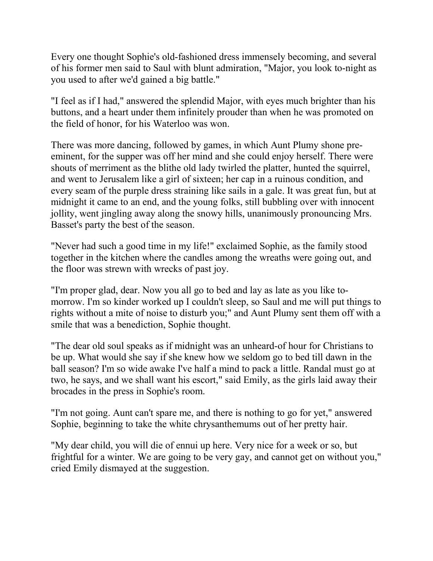Every one thought Sophie's old-fashioned dress immensely becoming, and several of his former men said to Saul with blunt admiration, "Major, you look to-night as you used to after we'd gained a big battle."

"I feel as if I had," answered the splendid Major, with eyes much brighter than his buttons, and a heart under them infinitely prouder than when he was promoted on the field of honor, for his Waterloo was won.

There was more dancing, followed by games, in which Aunt Plumy shone preeminent, for the supper was off her mind and she could enjoy herself. There were shouts of merriment as the blithe old lady twirled the platter, hunted the squirrel, and went to Jerusalem like a girl of sixteen; her cap in a ruinous condition, and every seam of the purple dress straining like sails in a gale. It was great fun, but at midnight it came to an end, and the young folks, still bubbling over with innocent jollity, went jingling away along the snowy hills, unanimously pronouncing Mrs. Basset's party the best of the season.

"Never had such a good time in my life!" exclaimed Sophie, as the family stood together in the kitchen where the candles among the wreaths were going out, and the floor was strewn with wrecks of past joy.

"I'm proper glad, dear. Now you all go to bed and lay as late as you like tomorrow. I'm so kinder worked up I couldn't sleep, so Saul and me will put things to rights without a mite of noise to disturb you;" and Aunt Plumy sent them off with a smile that was a benediction, Sophie thought.

"The dear old soul speaks as if midnight was an unheard-of hour for Christians to be up. What would she say if she knew how we seldom go to bed till dawn in the ball season? I'm so wide awake I've half a mind to pack a little. Randal must go at two, he says, and we shall want his escort," said Emily, as the girls laid away their brocades in the press in Sophie's room.

"I'm not going. Aunt can't spare me, and there is nothing to go for yet," answered Sophie, beginning to take the white chrysanthemums out of her pretty hair.

"My dear child, you will die of ennui up here. Very nice for a week or so, but frightful for a winter. We are going to be very gay, and cannot get on without you," cried Emily dismayed at the suggestion.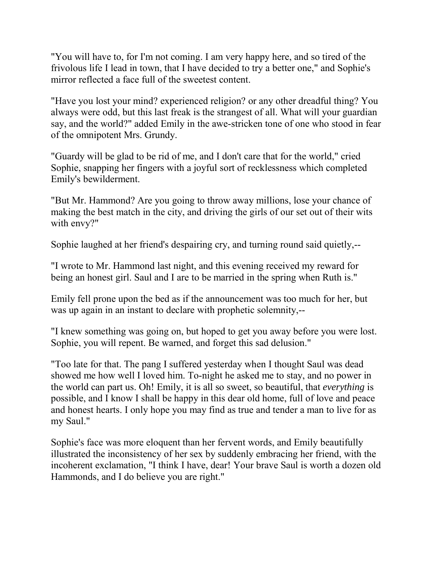"You will have to, for I'm not coming. I am very happy here, and so tired of the frivolous life I lead in town, that I have decided to try a better one," and Sophie's mirror reflected a face full of the sweetest content.

"Have you lost your mind? experienced religion? or any other dreadful thing? You always were odd, but this last freak is the strangest of all. What will your guardian say, and the world?" added Emily in the awe-stricken tone of one who stood in fear of the omnipotent Mrs. Grundy.

"Guardy will be glad to be rid of me, and I don't care that for the world," cried Sophie, snapping her fingers with a joyful sort of recklessness which completed Emily's bewilderment.

"But Mr. Hammond? Are you going to throw away millions, lose your chance of making the best match in the city, and driving the girls of our set out of their wits with envy?"

Sophie laughed at her friend's despairing cry, and turning round said quietly,--

"I wrote to Mr. Hammond last night, and this evening received my reward for being an honest girl. Saul and I are to be married in the spring when Ruth is."

Emily fell prone upon the bed as if the announcement was too much for her, but was up again in an instant to declare with prophetic solemnity,--

"I knew something was going on, but hoped to get you away before you were lost. Sophie, you will repent. Be warned, and forget this sad delusion."

"Too late for that. The pang I suffered yesterday when I thought Saul was dead showed me how well I loved him. To-night he asked me to stay, and no power in the world can part us. Oh! Emily, it is all so sweet, so beautiful, that *everything* is possible, and I know I shall be happy in this dear old home, full of love and peace and honest hearts. I only hope you may find as true and tender a man to live for as my Saul."

Sophie's face was more eloquent than her fervent words, and Emily beautifully illustrated the inconsistency of her sex by suddenly embracing her friend, with the incoherent exclamation, "I think I have, dear! Your brave Saul is worth a dozen old Hammonds, and I do believe you are right."